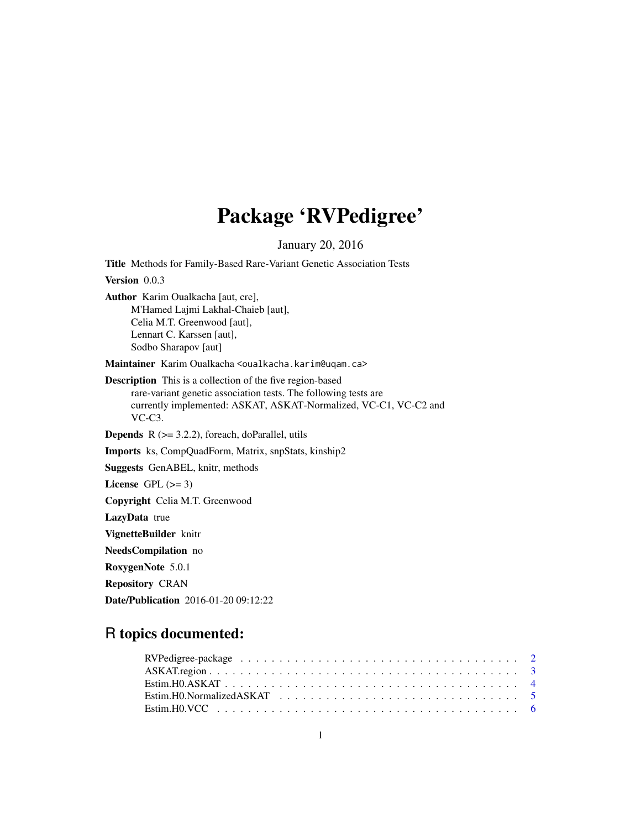# Package 'RVPedigree'

January 20, 2016

<span id="page-0-0"></span>Title Methods for Family-Based Rare-Variant Genetic Association Tests Version 0.0.3 Author Karim Oualkacha [aut, cre], M'Hamed Lajmi Lakhal-Chaieb [aut], Celia M.T. Greenwood [aut], Lennart C. Karssen [aut], Sodbo Sharapov [aut] Maintainer Karim Oualkacha <oualkacha.karim@uqam.ca> Description This is a collection of the five region-based rare-variant genetic association tests. The following tests are currently implemented: ASKAT, ASKAT-Normalized, VC-C1, VC-C2 and VC-C3. **Depends**  $R$  ( $>= 3.2.2$ ), foreach, doParallel, utils Imports ks, CompQuadForm, Matrix, snpStats, kinship2 Suggests GenABEL, knitr, methods License GPL  $(>= 3)$ Copyright Celia M.T. Greenwood LazyData true VignetteBuilder knitr NeedsCompilation no RoxygenNote 5.0.1 Repository CRAN Date/Publication 2016-01-20 09:12:22

# R topics documented: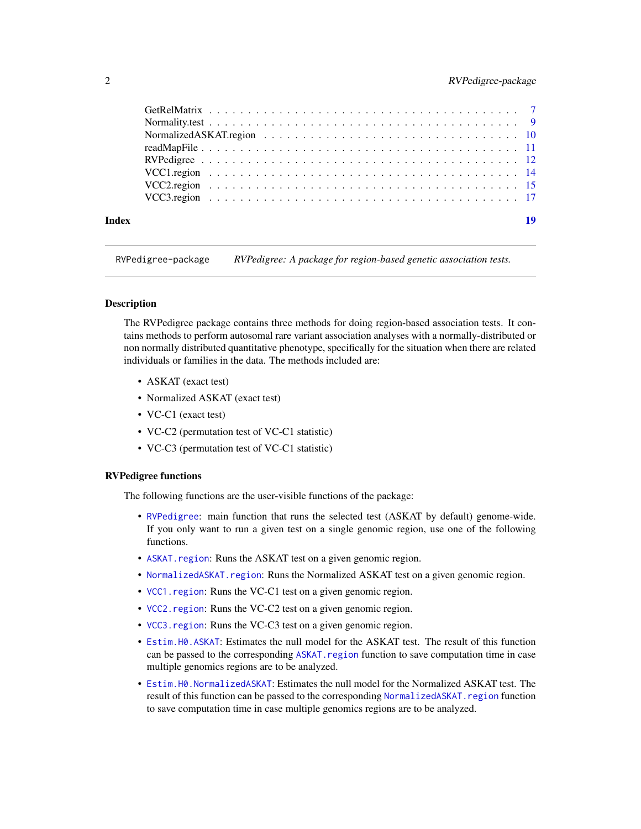#### <span id="page-1-0"></span>2 a contract the contract of the contract of the RVPedigree-package  $RVP$ edigree-package

| Index | 19 |
|-------|----|

RVPedigree-package *RVPedigree: A package for region-based genetic association tests.*

#### **Description**

The RVPedigree package contains three methods for doing region-based association tests. It contains methods to perform autosomal rare variant association analyses with a normally-distributed or non normally distributed quantitative phenotype, specifically for the situation when there are related individuals or families in the data. The methods included are:

- ASKAT (exact test)
- Normalized ASKAT (exact test)
- VC-C1 (exact test)
- VC-C2 (permutation test of VC-C1 statistic)
- VC-C3 (permutation test of VC-C1 statistic)

#### RVPedigree functions

The following functions are the user-visible functions of the package:

- [RVPedigree](#page-11-1): main function that runs the selected test (ASKAT by default) genome-wide. If you only want to run a given test on a single genomic region, use one of the following functions.
- [ASKAT.region](#page-2-1): Runs the ASKAT test on a given genomic region.
- NormalizedASKAT. region: Runs the Normalized ASKAT test on a given genomic region.
- [VCC1.region](#page-13-1): Runs the VC-C1 test on a given genomic region.
- [VCC2.region](#page-14-1): Runs the VC-C2 test on a given genomic region.
- [VCC3.region](#page-16-1): Runs the VC-C3 test on a given genomic region.
- [Estim.H0.ASKAT](#page-3-1): Estimates the null model for the ASKAT test. The result of this function can be passed to the corresponding ASKAT. region function to save computation time in case multiple genomics regions are to be analyzed.
- [Estim.H0.NormalizedASKAT](#page-4-1): Estimates the null model for the Normalized ASKAT test. The result of this function can be passed to the corresponding [NormalizedASKAT.region](#page-9-1) function to save computation time in case multiple genomics regions are to be analyzed.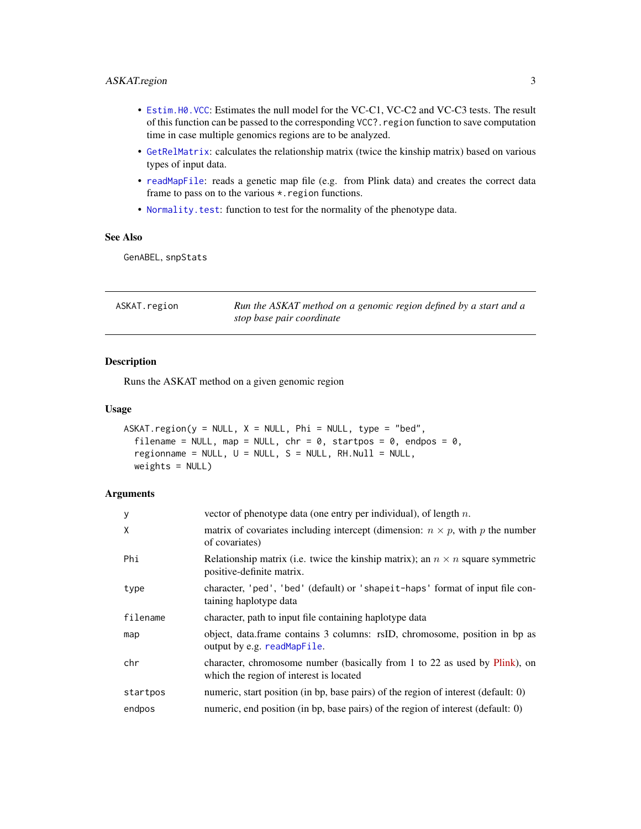#### <span id="page-2-0"></span>ASKAT.region 3

- [Estim.H0.VCC](#page-5-1): Estimates the null model for the VC-C1, VC-C2 and VC-C3 tests. The result of this function can be passed to the corresponding VCC?. region function to save computation time in case multiple genomics regions are to be analyzed.
- [GetRelMatrix](#page-6-1): calculates the relationship matrix (twice the kinship matrix) based on various types of input data.
- [readMapFile](#page-10-1): reads a genetic map file (e.g. from Plink data) and creates the correct data frame to pass on to the various  $\star$ . region functions.
- [Normality.test](#page-8-1): function to test for the normality of the phenotype data.

#### See Also

GenABEL, snpStats

<span id="page-2-1"></span>

| ASKAT.region | Run the ASKAT method on a genomic region defined by a start and a |
|--------------|-------------------------------------------------------------------|
|              | stop base pair coordinate                                         |

#### Description

Runs the ASKAT method on a given genomic region

#### Usage

```
ASKAT.region(y = NULL, X = NULL, Phi = NULL, type = "bed",filename = NULL, map = NULL, chr = 0, startpos = 0, endpos = 0,
  regionname = NULL, U = NULL, S = NULL, RH.Null = NULL,
 weights = NULL)
```

| y        | vector of phenotype data (one entry per individual), of length $n$ .                                                  |
|----------|-----------------------------------------------------------------------------------------------------------------------|
| X        | matrix of covariates including intercept (dimension: $n \times p$ , with p the number<br>of covariates)               |
| Phi      | Relationship matrix (i.e. twice the kinship matrix); an $n \times n$ square symmetric<br>positive-definite matrix.    |
| type     | character, 'ped', 'bed' (default) or 'shapeit-haps' format of input file con-<br>taining haplotype data               |
| filename | character, path to input file containing haplotype data                                                               |
| map      | object, data.frame contains 3 columns: rsID, chromosome, position in bp as<br>output by e.g. readMapFile.             |
| chr      | character, chromosome number (basically from 1 to 22 as used by Plink), on<br>which the region of interest is located |
| startpos | numeric, start position (in bp, base pairs) of the region of interest (default: 0)                                    |
| endpos   | numeric, end position (in bp, base pairs) of the region of interest (default: 0)                                      |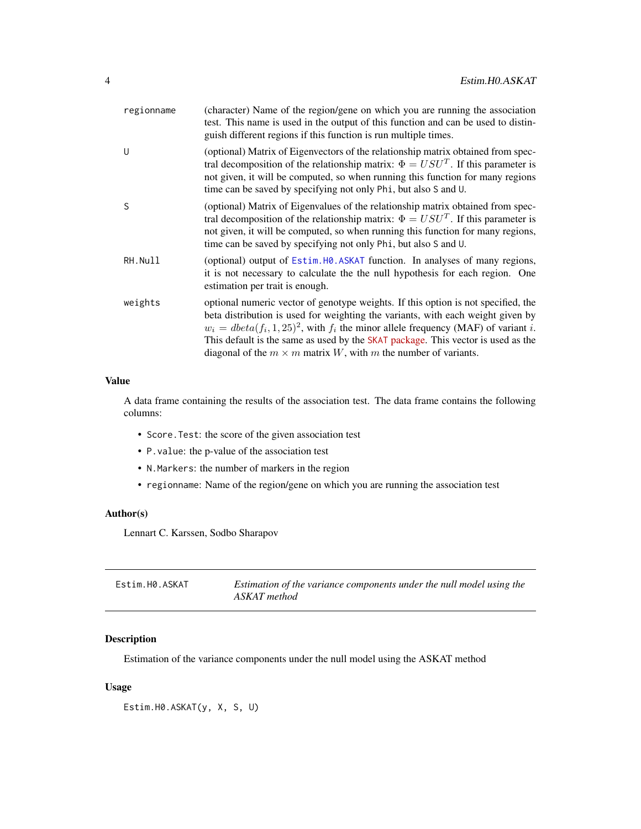<span id="page-3-0"></span>

| regionname | (character) Name of the region/gene on which you are running the association<br>test. This name is used in the output of this function and can be used to distin-<br>guish different regions if this function is run multiple times.                                                                                                                                                                                                |
|------------|-------------------------------------------------------------------------------------------------------------------------------------------------------------------------------------------------------------------------------------------------------------------------------------------------------------------------------------------------------------------------------------------------------------------------------------|
| U          | (optional) Matrix of Eigenvectors of the relationship matrix obtained from spec-<br>tral decomposition of the relationship matrix: $\Phi = USU^{T}$ . If this parameter is<br>not given, it will be computed, so when running this function for many regions<br>time can be saved by specifying not only Phi, but also S and U.                                                                                                     |
| S          | (optional) Matrix of Eigenvalues of the relationship matrix obtained from spec-<br>tral decomposition of the relationship matrix: $\Phi = USU^{T}$ . If this parameter is<br>not given, it will be computed, so when running this function for many regions,<br>time can be saved by specifying not only Phi, but also S and U.                                                                                                     |
| RH.Null    | (optional) output of Estim. HO. ASKAT function. In analyses of many regions,<br>it is not necessary to calculate the the null hypothesis for each region. One<br>estimation per trait is enough.                                                                                                                                                                                                                                    |
| weights    | optional numeric vector of genotype weights. If this option is not specified, the<br>beta distribution is used for weighting the variants, with each weight given by<br>$w_i = \text{dbeta}(f_i, 1, 25)^2$ , with $f_i$ the minor allele frequency (MAF) of variant i.<br>This default is the same as used by the SKAT package. This vector is used as the<br>diagonal of the $m \times m$ matrix W, with m the number of variants. |

A data frame containing the results of the association test. The data frame contains the following columns:

- Score.Test: the score of the given association test
- P.value: the p-value of the association test
- N.Markers: the number of markers in the region
- regionname: Name of the region/gene on which you are running the association test

#### Author(s)

Lennart C. Karssen, Sodbo Sharapov

<span id="page-3-1"></span>

| Estim.H0.ASKAT | Estimation of the variance components under the null model using the |
|----------------|----------------------------------------------------------------------|
|                | ASKAT method                                                         |

#### Description

Estimation of the variance components under the null model using the ASKAT method

### Usage

Estim.H0.ASKAT(y, X, S, U)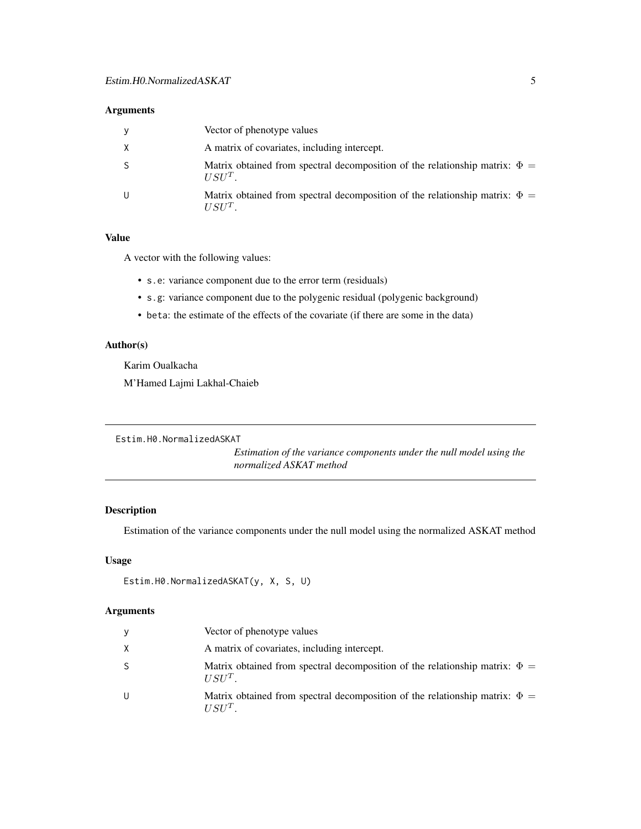#### <span id="page-4-0"></span>Arguments

| y  | Vector of phenotype values                                                                             |
|----|--------------------------------------------------------------------------------------------------------|
| X  | A matrix of covariates, including intercept.                                                           |
| -S | Matrix obtained from spectral decomposition of the relationship matrix: $\Phi =$<br>IISII <sup>T</sup> |
| U  | Matrix obtained from spectral decomposition of the relationship matrix: $\Phi =$<br>IISII <sup>T</sup> |

#### Value

A vector with the following values:

- s.e: variance component due to the error term (residuals)
- s.g: variance component due to the polygenic residual (polygenic background)
- beta: the estimate of the effects of the covariate (if there are some in the data)

#### Author(s)

Karim Oualkacha M'Hamed Lajmi Lakhal-Chaieb

<span id="page-4-1"></span>Estim.H0.NormalizedASKAT

*Estimation of the variance components under the null model using the normalized ASKAT method*

#### Description

Estimation of the variance components under the null model using the normalized ASKAT method

#### Usage

```
Estim.H0.NormalizedASKAT(y, X, S, U)
```

| У | Vector of phenotype values                                                                   |
|---|----------------------------------------------------------------------------------------------|
| X | A matrix of covariates, including intercept.                                                 |
| S | Matrix obtained from spectral decomposition of the relationship matrix: $\Phi =$<br>$IISU^T$ |
| U | Matrix obtained from spectral decomposition of the relationship matrix: $\Phi =$<br>$IISU^T$ |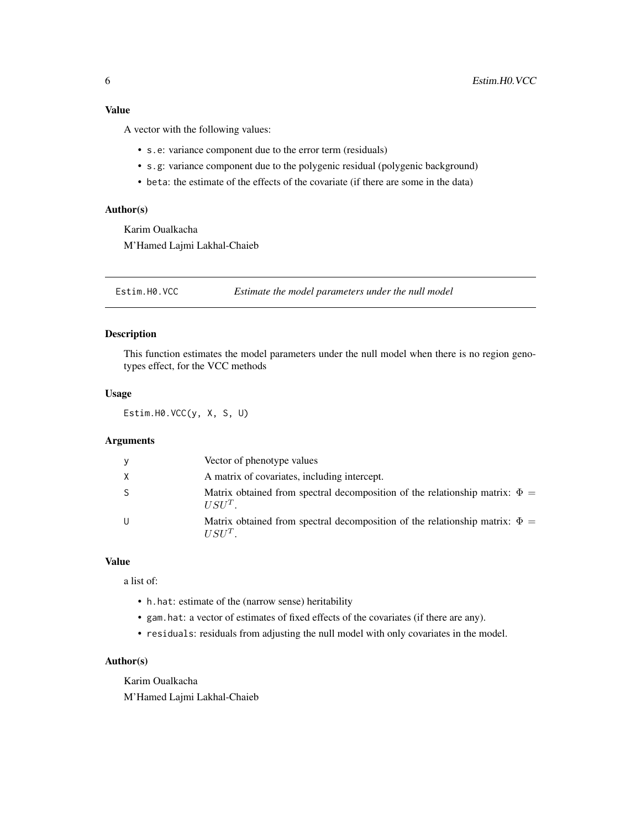<span id="page-5-0"></span>A vector with the following values:

- s.e: variance component due to the error term (residuals)
- s.g: variance component due to the polygenic residual (polygenic background)
- beta: the estimate of the effects of the covariate (if there are some in the data)

#### Author(s)

Karim Oualkacha M'Hamed Lajmi Lakhal-Chaieb

<span id="page-5-1"></span>Estim.H0.VCC *Estimate the model parameters under the null model*

#### Description

This function estimates the model parameters under the null model when there is no region genotypes effect, for the VCC methods

#### Usage

Estim.H0.VCC(y, X, S, U)

#### Arguments

| y            | Vector of phenotype values                                                                              |
|--------------|---------------------------------------------------------------------------------------------------------|
| X            | A matrix of covariates, including intercept.                                                            |
| <sub>S</sub> | Matrix obtained from spectral decomposition of the relationship matrix: $\Phi =$<br>$USUT$ .            |
| U            | Matrix obtained from spectral decomposition of the relationship matrix: $\Phi =$<br>$IISI$ <sup>T</sup> |

#### Value

a list of:

- h.hat: estimate of the (narrow sense) heritability
- gam.hat: a vector of estimates of fixed effects of the covariates (if there are any).
- residuals: residuals from adjusting the null model with only covariates in the model.

#### Author(s)

Karim Oualkacha

M'Hamed Lajmi Lakhal-Chaieb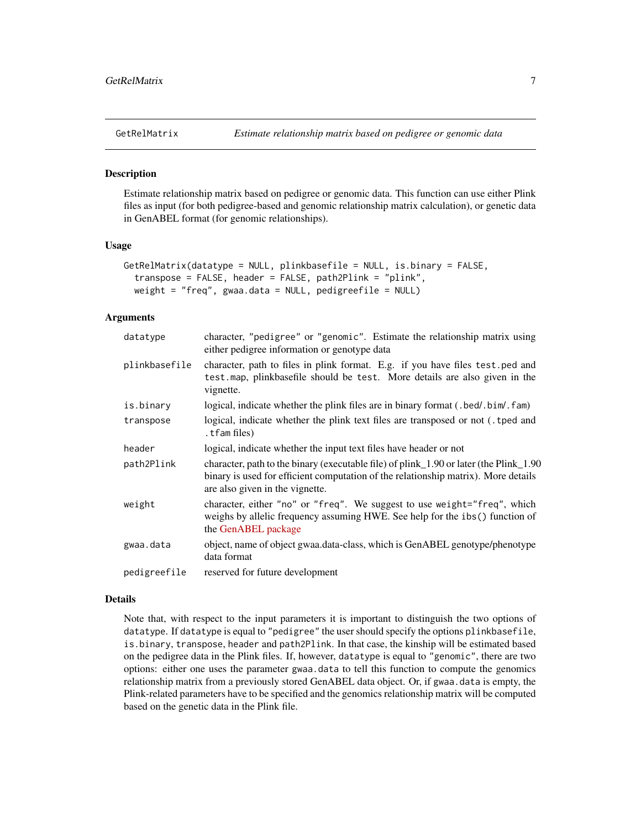<span id="page-6-1"></span><span id="page-6-0"></span>

#### **Description**

Estimate relationship matrix based on pedigree or genomic data. This function can use either Plink files as input (for both pedigree-based and genomic relationship matrix calculation), or genetic data in GenABEL format (for genomic relationships).

#### Usage

```
GetRelMatrix(datatype = NULL, plinkbasefile = NULL, is.binary = FALSE,
  transpose = FALSE, header = FALSE, path2Plink = "plink",
 weight = "freq", gwaa.data = NULL, pedigreefile = NULL)
```
#### Arguments

| datatype      | character, "pedigree" or "genomic". Estimate the relationship matrix using<br>either pedigree information or genotype data                                                                                      |
|---------------|-----------------------------------------------------------------------------------------------------------------------------------------------------------------------------------------------------------------|
| plinkbasefile | character, path to files in plink format. E.g. if you have files test, ped and<br>test. map, plinkbasefile should be test. More details are also given in the<br>vignette.                                      |
| is.binary     | logical, indicate whether the plink files are in binary format (.bed/.bim/.fam)                                                                                                                                 |
| transpose     | logical, indicate whether the plink text files are transposed or not (the and<br>tfam files).                                                                                                                   |
| header        | logical, indicate whether the input text files have header or not                                                                                                                                               |
| path2Plink    | character, path to the binary (executable file) of plink 1.90 or later (the Plink 1.90<br>binary is used for efficient computation of the relationship matrix). More details<br>are also given in the vignette. |
| weight        | character, either "no" or "freq". We suggest to use weight="freq", which<br>weighs by allelic frequency assuming HWE. See help for the ibs() function of<br>the GenABEL package                                 |
| gwaa.data     | object, name of object gwaa.data-class, which is GenABEL genotype/phenotype<br>data format                                                                                                                      |
| pedigreefile  | reserved for future development                                                                                                                                                                                 |

#### Details

Note that, with respect to the input parameters it is important to distinguish the two options of datatype. If datatype is equal to "pedigree" the user should specify the options plinkbasefile, is.binary, transpose, header and path2Plink. In that case, the kinship will be estimated based on the pedigree data in the Plink files. If, however, datatype is equal to "genomic", there are two options: either one uses the parameter gwaa.data to tell this function to compute the genomics relationship matrix from a previously stored GenABEL data object. Or, if gwaa.data is empty, the Plink-related parameters have to be specified and the genomics relationship matrix will be computed based on the genetic data in the Plink file.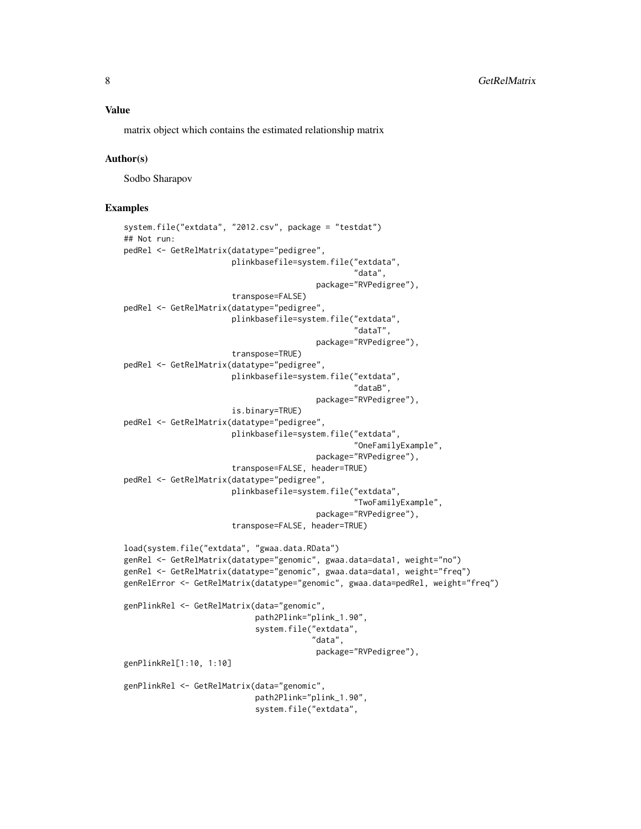matrix object which contains the estimated relationship matrix

#### Author(s)

Sodbo Sharapov

#### Examples

```
system.file("extdata", "2012.csv", package = "testdat")
## Not run:
pedRel <- GetRelMatrix(datatype="pedigree",
                       plinkbasefile=system.file("extdata",
                                                  "data",
                                         package="RVPedigree"),
                       transpose=FALSE)
pedRel <- GetRelMatrix(datatype="pedigree",
                       plinkbasefile=system.file("extdata",
                                                  "dataT",
                                         package="RVPedigree"),
                       transpose=TRUE)
pedRel <- GetRelMatrix(datatype="pedigree",
                       plinkbasefile=system.file("extdata",
                                                  "dataB",
                                         package="RVPedigree"),
                       is.binary=TRUE)
pedRel <- GetRelMatrix(datatype="pedigree",
                       plinkbasefile=system.file("extdata",
                                                  "OneFamilyExample",
                                         package="RVPedigree"),
                       transpose=FALSE, header=TRUE)
pedRel <- GetRelMatrix(datatype="pedigree",
                       plinkbasefile=system.file("extdata",
                                                  "TwoFamilyExample",
                                         package="RVPedigree"),
                       transpose=FALSE, header=TRUE)
load(system.file("extdata", "gwaa.data.RData")
genRel <- GetRelMatrix(datatype="genomic", gwaa.data=data1, weight="no")
genRel <- GetRelMatrix(datatype="genomic", gwaa.data=data1, weight="freq")
genRelError <- GetRelMatrix(datatype="genomic", gwaa.data=pedRel, weight="freq")
genPlinkRel <- GetRelMatrix(data="genomic",
                            path2Plink="plink_1.90",
                            system.file("extdata",
                                         "data",
                                         package="RVPedigree"),
genPlinkRel[1:10, 1:10]
genPlinkRel <- GetRelMatrix(data="genomic",
                            path2Plink="plink_1.90",
                            system.file("extdata",
```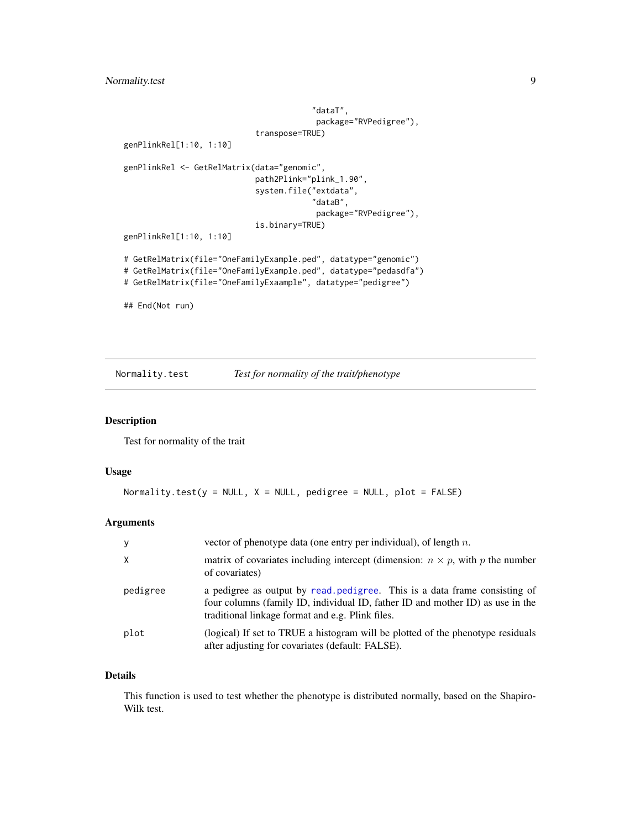<span id="page-8-0"></span>Normality.test 9

```
"dataT",
                                         package="RVPedigree"),
                            transpose=TRUE)
genPlinkRel[1:10, 1:10]
genPlinkRel <- GetRelMatrix(data="genomic",
                            path2Plink="plink_1.90",
                            system.file("extdata",
                                        "dataB",
                                         package="RVPedigree"),
                            is.binary=TRUE)
genPlinkRel[1:10, 1:10]
# GetRelMatrix(file="OneFamilyExample.ped", datatype="genomic")
# GetRelMatrix(file="OneFamilyExample.ped", datatype="pedasdfa")
# GetRelMatrix(file="OneFamilyExaample", datatype="pedigree")
## End(Not run)
```
<span id="page-8-1"></span>Normality.test *Test for normality of the trait/phenotype*

#### Description

Test for normality of the trait

#### Usage

```
Normality.test(y = NULL, X = NULL, pedigree = NULL, plot = FALSE)
```
#### Arguments

| y        | vector of phenotype data (one entry per individual), of length $n$ .                                                                                                                                            |
|----------|-----------------------------------------------------------------------------------------------------------------------------------------------------------------------------------------------------------------|
| X        | matrix of covariates including intercept (dimension: $n \times p$ , with p the number<br>of covariates)                                                                                                         |
| pedigree | a pedigree as output by read pedigree. This is a data frame consisting of<br>four columns (family ID, individual ID, father ID and mother ID) as use in the<br>traditional linkage format and e.g. Plink files. |
| plot     | (logical) If set to TRUE a histogram will be plotted of the phenotype residuals<br>after adjusting for covariates (default: FALSE).                                                                             |

#### Details

This function is used to test whether the phenotype is distributed normally, based on the Shapiro-Wilk test.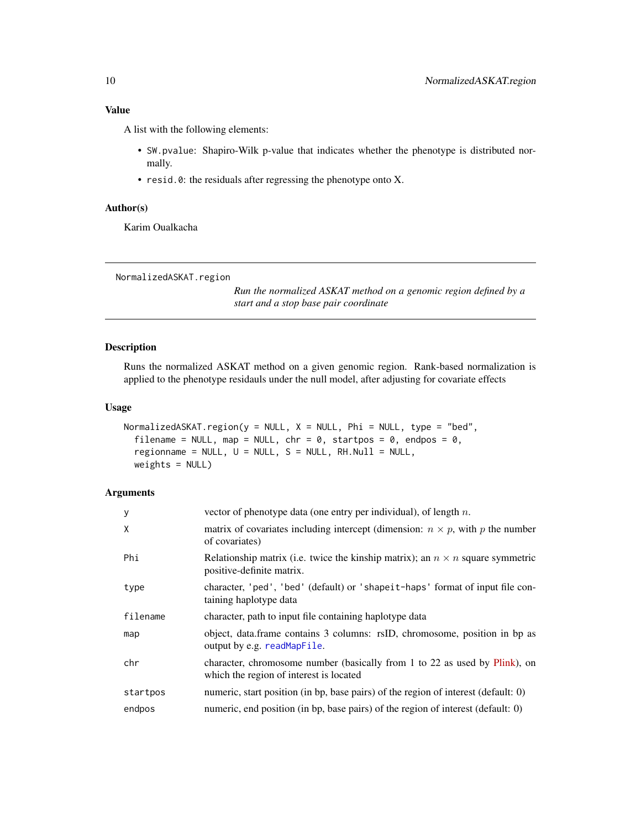<span id="page-9-0"></span>A list with the following elements:

- SW.pvalue: Shapiro-Wilk p-value that indicates whether the phenotype is distributed normally.
- resid.0: the residuals after regressing the phenotype onto X.

# Author(s)

Karim Oualkacha

```
NormalizedASKAT.region
```
*Run the normalized ASKAT method on a genomic region defined by a start and a stop base pair coordinate*

#### Description

Runs the normalized ASKAT method on a given genomic region. Rank-based normalization is applied to the phenotype residauls under the null model, after adjusting for covariate effects

#### Usage

```
NormalizedASKAT.region(y = NULL, X = NULL, Phi = NULL, type = "bed",
  filename = NULL, map = NULL, chr = 0, startpos = 0, endpos = 0,
  regionname = NULL, U = NULL, S = NULL, RH.Null = NULL,
 weights = NULL)
```

| y        | vector of phenotype data (one entry per individual), of length $n$ .                                                  |
|----------|-----------------------------------------------------------------------------------------------------------------------|
| X        | matrix of covariates including intercept (dimension: $n \times p$ , with p the number<br>of covariates)               |
| Phi      | Relationship matrix (i.e. twice the kinship matrix); an $n \times n$ square symmetric<br>positive-definite matrix.    |
| type     | character, 'ped', 'bed' (default) or 'shapeit-haps' format of input file con-<br>taining haplotype data               |
| filename | character, path to input file containing haplotype data                                                               |
| map      | object, data.frame contains 3 columns: rsID, chromosome, position in bp as<br>output by e.g. readMapFile.             |
| chr      | character, chromosome number (basically from 1 to 22 as used by Plink), on<br>which the region of interest is located |
| startpos | numeric, start position (in bp, base pairs) of the region of interest (default: 0)                                    |
| endpos   | numeric, end position (in bp, base pairs) of the region of interest (default: 0)                                      |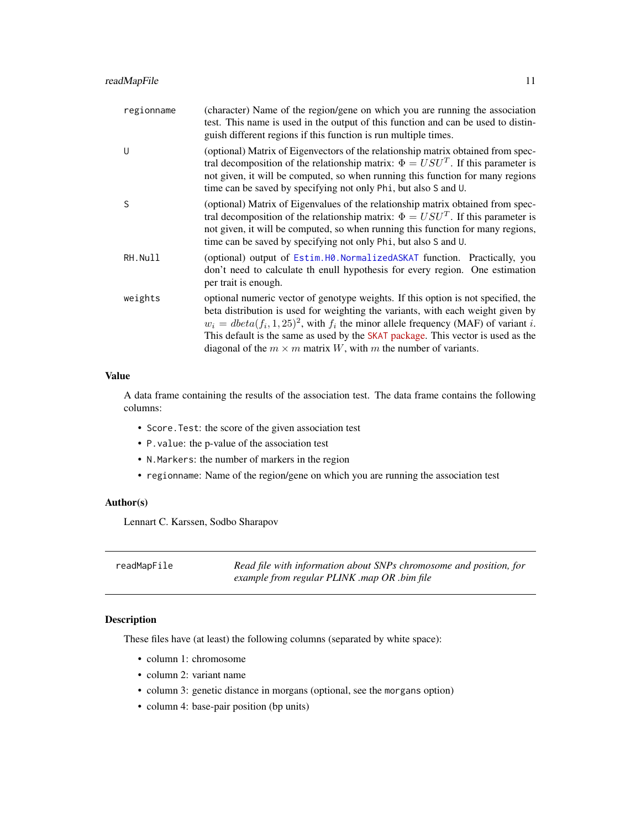#### <span id="page-10-0"></span>readMapFile 11

| regionname | (character) Name of the region/gene on which you are running the association<br>test. This name is used in the output of this function and can be used to distin-<br>guish different regions if this function is run multiple times.                                                                                                                                                                                                |
|------------|-------------------------------------------------------------------------------------------------------------------------------------------------------------------------------------------------------------------------------------------------------------------------------------------------------------------------------------------------------------------------------------------------------------------------------------|
| $\cup$     | (optional) Matrix of Eigenvectors of the relationship matrix obtained from spec-<br>tral decomposition of the relationship matrix: $\Phi = USUT$ . If this parameter is<br>not given, it will be computed, so when running this function for many regions<br>time can be saved by specifying not only Phi, but also S and U.                                                                                                        |
| S          | (optional) Matrix of Eigenvalues of the relationship matrix obtained from spec-<br>tral decomposition of the relationship matrix: $\Phi = USUT$ . If this parameter is<br>not given, it will be computed, so when running this function for many regions,<br>time can be saved by specifying not only Phi, but also S and U.                                                                                                        |
| RH.Null    | (optional) output of Estim. HO. Normalized ASKAT function. Practically, you<br>don't need to calculate th enull hypothesis for every region. One estimation<br>per trait is enough.                                                                                                                                                                                                                                                 |
| weights    | optional numeric vector of genotype weights. If this option is not specified, the<br>beta distribution is used for weighting the variants, with each weight given by<br>$w_i = \text{dbeta}(f_i, 1, 25)^2$ , with $f_i$ the minor allele frequency (MAF) of variant i.<br>This default is the same as used by the SKAT package. This vector is used as the<br>diagonal of the $m \times m$ matrix W, with m the number of variants. |

#### Value

A data frame containing the results of the association test. The data frame contains the following columns:

- Score.Test: the score of the given association test
- P.value: the p-value of the association test
- N.Markers: the number of markers in the region
- regionname: Name of the region/gene on which you are running the association test

#### Author(s)

Lennart C. Karssen, Sodbo Sharapov

<span id="page-10-1"></span>readMapFile *Read file with information about SNPs chromosome and position, for example from regular PLINK .map OR .bim file*

# Description

These files have (at least) the following columns (separated by white space):

- column 1: chromosome
- column 2: variant name
- column 3: genetic distance in morgans (optional, see the morgans option)
- column 4: base-pair position (bp units)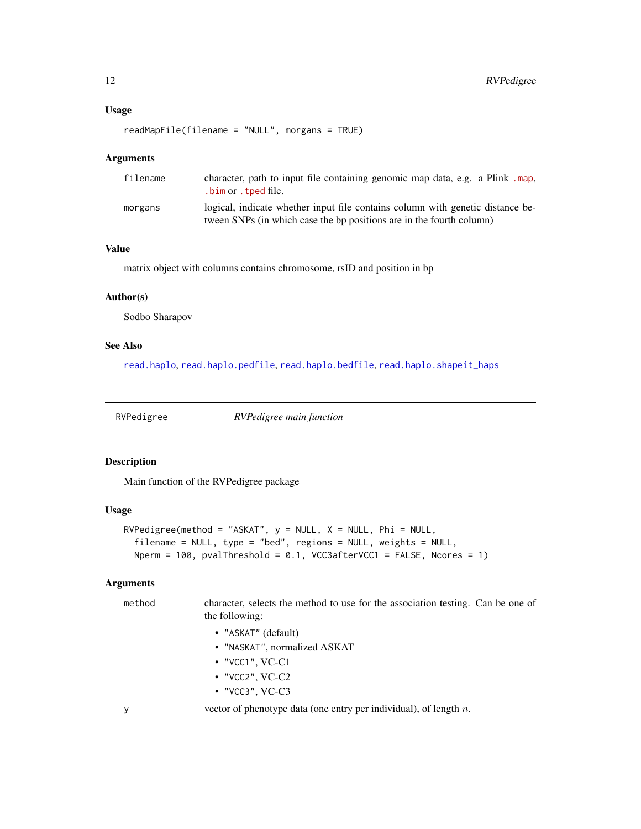#### <span id="page-11-0"></span>Usage

```
readMapFile(filename = "NULL", morgans = TRUE)
```
#### Arguments

| filename | character, path to input file containing genomic map data, e.g. a Plink .map,<br>.bim or .tped file.                                                   |
|----------|--------------------------------------------------------------------------------------------------------------------------------------------------------|
| morgans  | logical, indicate whether input file contains column with genetic distance be-<br>tween SNPs (in which case the bp positions are in the fourth column) |

#### Value

matrix object with columns contains chromosome, rsID and position in bp

#### Author(s)

Sodbo Sharapov

#### See Also

[read.haplo](#page-0-0), [read.haplo.pedfile](#page-0-0), [read.haplo.bedfile](#page-0-0), [read.haplo.shapeit\\_haps](#page-0-0)

<span id="page-11-1"></span>

RVPedigree *RVPedigree main function*

#### Description

Main function of the RVPedigree package

#### Usage

```
RVPedigree(method = "ASKAT", y = NULL, X = NULL, Phi = NULL,
 filename = NULL, type = "bed", regions = NULL, weights = NULL,
 Nperm = 100, pvalThreshold = 0.1, VCC3afterVCC1 = FALSE, Ncores = 1)
```
### Arguments

method character, selects the method to use for the association testing. Can be one of the following:

- "ASKAT" (default)
- "NASKAT", normalized ASKAT
- "VCC1", VC-C1
- "VCC2", VC-C2
- "VCC3", VC-C3

y vector of phenotype data (one entry per individual), of length n.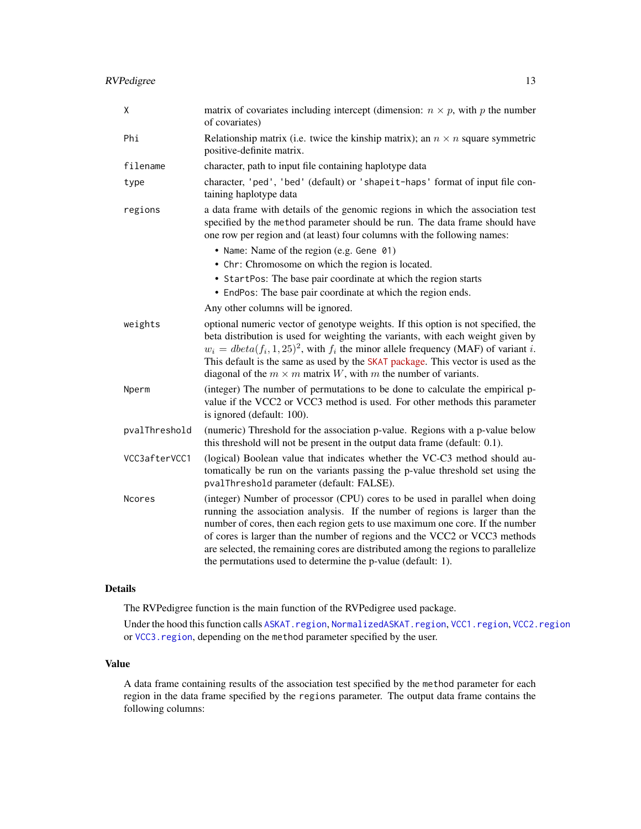<span id="page-12-0"></span>

| X             | matrix of covariates including intercept (dimension: $n \times p$ , with p the number<br>of covariates)                                                                                                                                                                                                                                                                                                                                                                           |
|---------------|-----------------------------------------------------------------------------------------------------------------------------------------------------------------------------------------------------------------------------------------------------------------------------------------------------------------------------------------------------------------------------------------------------------------------------------------------------------------------------------|
| Phi           | Relationship matrix (i.e. twice the kinship matrix); an $n \times n$ square symmetric<br>positive-definite matrix.                                                                                                                                                                                                                                                                                                                                                                |
| filename      | character, path to input file containing haplotype data                                                                                                                                                                                                                                                                                                                                                                                                                           |
| type          | character, 'ped', 'bed' (default) or 'shapeit-haps' format of input file con-<br>taining haplotype data                                                                                                                                                                                                                                                                                                                                                                           |
| regions       | a data frame with details of the genomic regions in which the association test<br>specified by the method parameter should be run. The data frame should have<br>one row per region and (at least) four columns with the following names:                                                                                                                                                                                                                                         |
|               | • Name: Name of the region (e.g. Gene 01)                                                                                                                                                                                                                                                                                                                                                                                                                                         |
|               | • Chr: Chromosome on which the region is located.                                                                                                                                                                                                                                                                                                                                                                                                                                 |
|               | • StartPos: The base pair coordinate at which the region starts                                                                                                                                                                                                                                                                                                                                                                                                                   |
|               | • EndPos: The base pair coordinate at which the region ends.                                                                                                                                                                                                                                                                                                                                                                                                                      |
|               | Any other columns will be ignored.                                                                                                                                                                                                                                                                                                                                                                                                                                                |
| weights       | optional numeric vector of genotype weights. If this option is not specified, the<br>beta distribution is used for weighting the variants, with each weight given by<br>$w_i = \text{dbeta}(f_i, 1, 25)^2$ , with $f_i$ the minor allele frequency (MAF) of variant i.<br>This default is the same as used by the SKAT package. This vector is used as the<br>diagonal of the $m \times m$ matrix W, with m the number of variants.                                               |
| Nperm         | (integer) The number of permutations to be done to calculate the empirical p-<br>value if the VCC2 or VCC3 method is used. For other methods this parameter<br>is ignored (default: 100).                                                                                                                                                                                                                                                                                         |
| pvalThreshold | (numeric) Threshold for the association p-value. Regions with a p-value below<br>this threshold will not be present in the output data frame (default: 0.1).                                                                                                                                                                                                                                                                                                                      |
| VCC3afterVCC1 | (logical) Boolean value that indicates whether the VC-C3 method should au-<br>tomatically be run on the variants passing the p-value threshold set using the<br>pvalThreshold parameter (default: FALSE).                                                                                                                                                                                                                                                                         |
| <b>Ncores</b> | (integer) Number of processor (CPU) cores to be used in parallel when doing<br>running the association analysis. If the number of regions is larger than the<br>number of cores, then each region gets to use maximum one core. If the number<br>of cores is larger than the number of regions and the VCC2 or VCC3 methods<br>are selected, the remaining cores are distributed among the regions to parallelize<br>the permutations used to determine the p-value (default: 1). |

#### Details

The RVPedigree function is the main function of the RVPedigree used package.

Under the hood this function calls [ASKAT.region](#page-2-1), [NormalizedASKAT.region](#page-9-1), [VCC1.region](#page-13-1), [VCC2.region](#page-14-1) or [VCC3.region](#page-16-1), depending on the method parameter specified by the user.

#### Value

A data frame containing results of the association test specified by the method parameter for each region in the data frame specified by the regions parameter. The output data frame contains the following columns: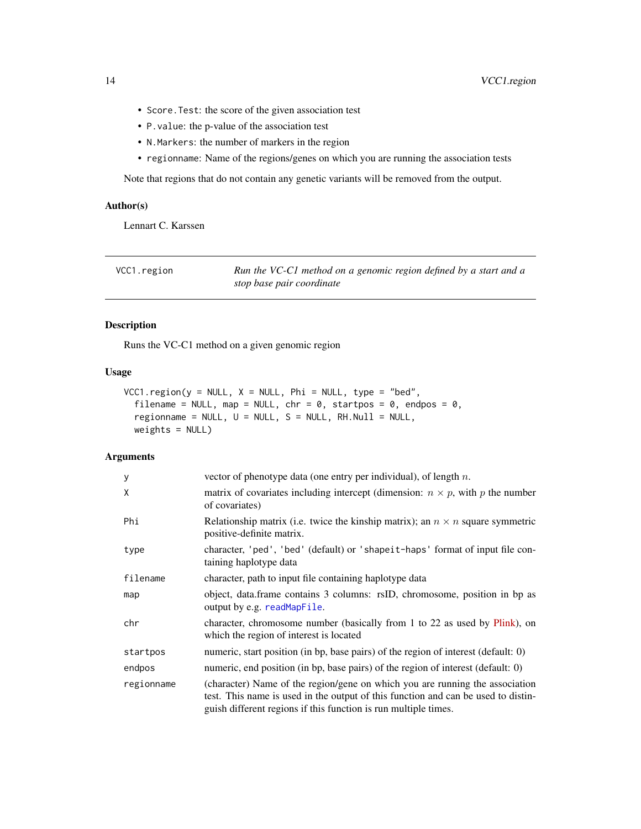- <span id="page-13-0"></span>• Score.Test: the score of the given association test
- P.value: the p-value of the association test
- N.Markers: the number of markers in the region
- regionname: Name of the regions/genes on which you are running the association tests

Note that regions that do not contain any genetic variants will be removed from the output.

#### Author(s)

Lennart C. Karssen

<span id="page-13-1"></span>

| VCC1.region | Run the VC-C1 method on a genomic region defined by a start and a |
|-------------|-------------------------------------------------------------------|
|             | stop base pair coordinate                                         |

#### Description

Runs the VC-C1 method on a given genomic region

#### Usage

```
VCC1.region(y = NULL, X = NULL, Phi = NULL, type = "bed",
  filename = NULL, map = NULL, chr = 0, startpos = 0, endpos = 0,
  regionname = NULL, U = NULL, S = NULL, RH.Null = NULL,
 weights = NULL)
```

| y          | vector of phenotype data (one entry per individual), of length $n$ .                                                                                                                                                                 |
|------------|--------------------------------------------------------------------------------------------------------------------------------------------------------------------------------------------------------------------------------------|
| Χ          | matrix of covariates including intercept (dimension: $n \times p$ , with p the number<br>of covariates)                                                                                                                              |
| Phi        | Relationship matrix (i.e. twice the kinship matrix); an $n \times n$ square symmetric<br>positive-definite matrix.                                                                                                                   |
| type       | character, 'ped', 'bed' (default) or 'shapeit-haps' format of input file con-<br>taining haplotype data                                                                                                                              |
| filename   | character, path to input file containing haplotype data                                                                                                                                                                              |
| map        | object, data.frame contains 3 columns: rsID, chromosome, position in bp as<br>output by e.g. readMapFile.                                                                                                                            |
| chr        | character, chromosome number (basically from 1 to 22 as used by Plink), on<br>which the region of interest is located                                                                                                                |
| startpos   | numeric, start position (in bp, base pairs) of the region of interest (default: 0)                                                                                                                                                   |
| endpos     | numeric, end position (in bp, base pairs) of the region of interest (default: 0)                                                                                                                                                     |
| regionname | (character) Name of the region/gene on which you are running the association<br>test. This name is used in the output of this function and can be used to distin-<br>guish different regions if this function is run multiple times. |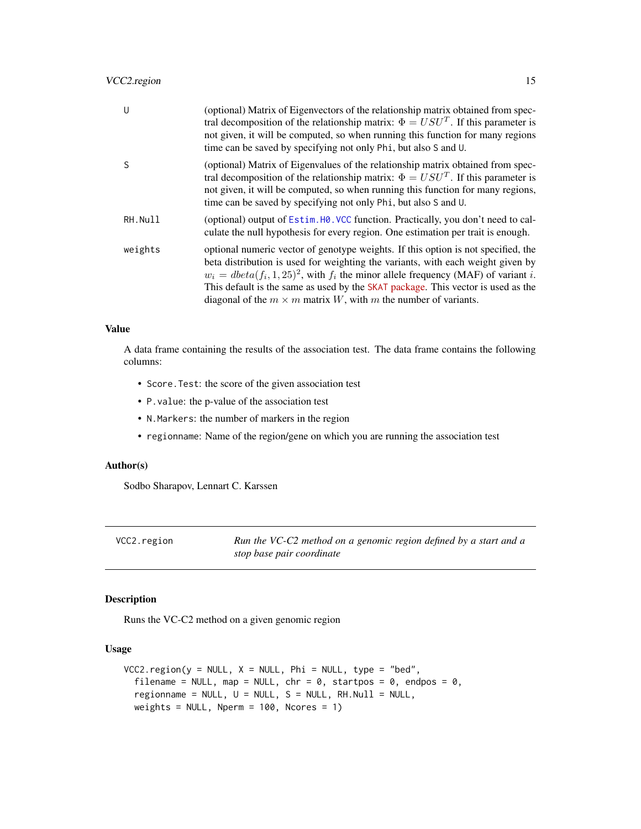#### <span id="page-14-0"></span>VCC2.region 15

| U       | (optional) Matrix of Eigenvectors of the relationship matrix obtained from spec-<br>tral decomposition of the relationship matrix: $\Phi = USU^{T}$ . If this parameter is<br>not given, it will be computed, so when running this function for many regions<br>time can be saved by specifying not only Phi, but also S and U.                                                                                                     |
|---------|-------------------------------------------------------------------------------------------------------------------------------------------------------------------------------------------------------------------------------------------------------------------------------------------------------------------------------------------------------------------------------------------------------------------------------------|
| S       | (optional) Matrix of Eigenvalues of the relationship matrix obtained from spec-<br>tral decomposition of the relationship matrix: $\Phi = USU^{T}$ . If this parameter is<br>not given, it will be computed, so when running this function for many regions,<br>time can be saved by specifying not only Phi, but also S and U.                                                                                                     |
| RH.Null | (optional) output of Estim. H0. VCC function. Practically, you don't need to cal-<br>culate the null hypothesis for every region. One estimation per trait is enough.                                                                                                                                                                                                                                                               |
| weights | optional numeric vector of genotype weights. If this option is not specified, the<br>beta distribution is used for weighting the variants, with each weight given by<br>$w_i = \text{dbeta}(f_i, 1, 25)^2$ , with $f_i$ the minor allele frequency (MAF) of variant i.<br>This default is the same as used by the SKAT package. This vector is used as the<br>diagonal of the $m \times m$ matrix W, with m the number of variants. |

#### Value

A data frame containing the results of the association test. The data frame contains the following columns:

- Score.Test: the score of the given association test
- P.value: the p-value of the association test
- N.Markers: the number of markers in the region
- regionname: Name of the region/gene on which you are running the association test

#### Author(s)

Sodbo Sharapov, Lennart C. Karssen

<span id="page-14-1"></span>VCC2.region *Run the VC-C2 method on a genomic region defined by a start and a stop base pair coordinate*

#### Description

Runs the VC-C2 method on a given genomic region

#### Usage

```
VCC2.region(y = NULL, X = NULL, Phi = NULL, type = "bed",
  filename = NULL, map = NULL, chr = 0, startpos = 0, endpos = 0,
  regionname = NULL, U = NULL, S = NULL, RH.Null = NULL,
 weights = NULL, Nperm = 100, Ncores = 1)
```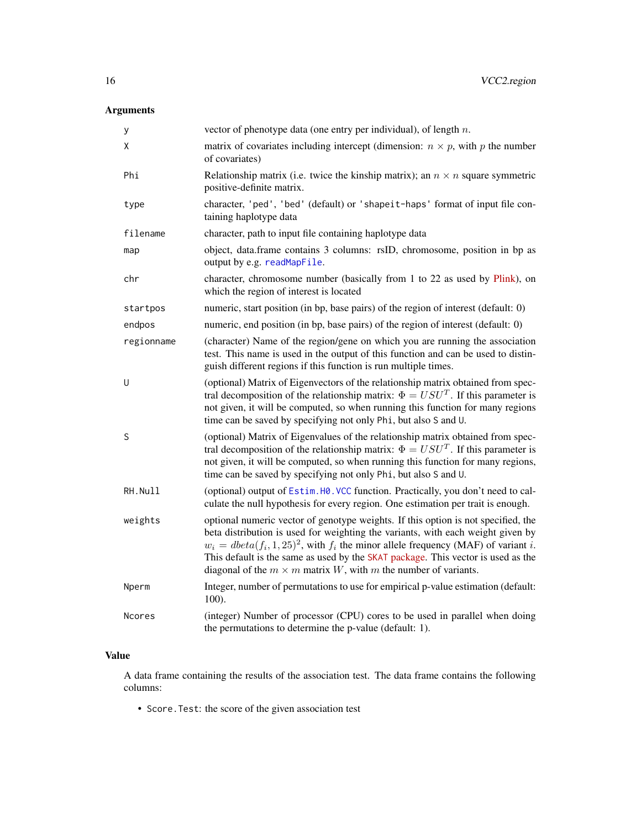# <span id="page-15-0"></span>Arguments

| у          | vector of phenotype data (one entry per individual), of length $n$ .                                                                                                                                                                                                                                                                                                                                                                |
|------------|-------------------------------------------------------------------------------------------------------------------------------------------------------------------------------------------------------------------------------------------------------------------------------------------------------------------------------------------------------------------------------------------------------------------------------------|
| X          | matrix of covariates including intercept (dimension: $n \times p$ , with p the number<br>of covariates)                                                                                                                                                                                                                                                                                                                             |
| Phi        | Relationship matrix (i.e. twice the kinship matrix); an $n \times n$ square symmetric<br>positive-definite matrix.                                                                                                                                                                                                                                                                                                                  |
| type       | character, 'ped', 'bed' (default) or 'shapeit-haps' format of input file con-<br>taining haplotype data                                                                                                                                                                                                                                                                                                                             |
| filename   | character, path to input file containing haplotype data                                                                                                                                                                                                                                                                                                                                                                             |
| map        | object, data.frame contains 3 columns: rsID, chromosome, position in bp as<br>output by e.g. readMapFile.                                                                                                                                                                                                                                                                                                                           |
| chr        | character, chromosome number (basically from 1 to 22 as used by Plink), on<br>which the region of interest is located                                                                                                                                                                                                                                                                                                               |
| startpos   | numeric, start position (in bp, base pairs) of the region of interest (default: 0)                                                                                                                                                                                                                                                                                                                                                  |
| endpos     | numeric, end position (in bp, base pairs) of the region of interest (default: 0)                                                                                                                                                                                                                                                                                                                                                    |
| regionname | (character) Name of the region/gene on which you are running the association<br>test. This name is used in the output of this function and can be used to distin-<br>guish different regions if this function is run multiple times.                                                                                                                                                                                                |
| U          | (optional) Matrix of Eigenvectors of the relationship matrix obtained from spec-<br>tral decomposition of the relationship matrix: $\Phi = USU^{T}$ . If this parameter is<br>not given, it will be computed, so when running this function for many regions<br>time can be saved by specifying not only Phi, but also S and U.                                                                                                     |
| S          | (optional) Matrix of Eigenvalues of the relationship matrix obtained from spec-<br>tral decomposition of the relationship matrix: $\Phi = USUT$ . If this parameter is<br>not given, it will be computed, so when running this function for many regions,<br>time can be saved by specifying not only Phi, but also S and U.                                                                                                        |
| RH.Null    | (optional) output of Estim. H0. VCC function. Practically, you don't need to cal-<br>culate the null hypothesis for every region. One estimation per trait is enough.                                                                                                                                                                                                                                                               |
| weights    | optional numeric vector of genotype weights. If this option is not specified, the<br>beta distribution is used for weighting the variants, with each weight given by<br>$w_i = \text{dbeta}(f_i, 1, 25)^2$ , with $f_i$ the minor allele frequency (MAF) of variant i.<br>This default is the same as used by the SKAT package. This vector is used as the<br>diagonal of the $m \times m$ matrix W, with m the number of variants. |
| Nperm      | Integer, number of permutations to use for empirical p-value estimation (default:<br>100).                                                                                                                                                                                                                                                                                                                                          |
| Ncores     | (integer) Number of processor (CPU) cores to be used in parallel when doing<br>the permutations to determine the p-value (default: 1).                                                                                                                                                                                                                                                                                              |

## Value

A data frame containing the results of the association test. The data frame contains the following columns:

• Score.Test: the score of the given association test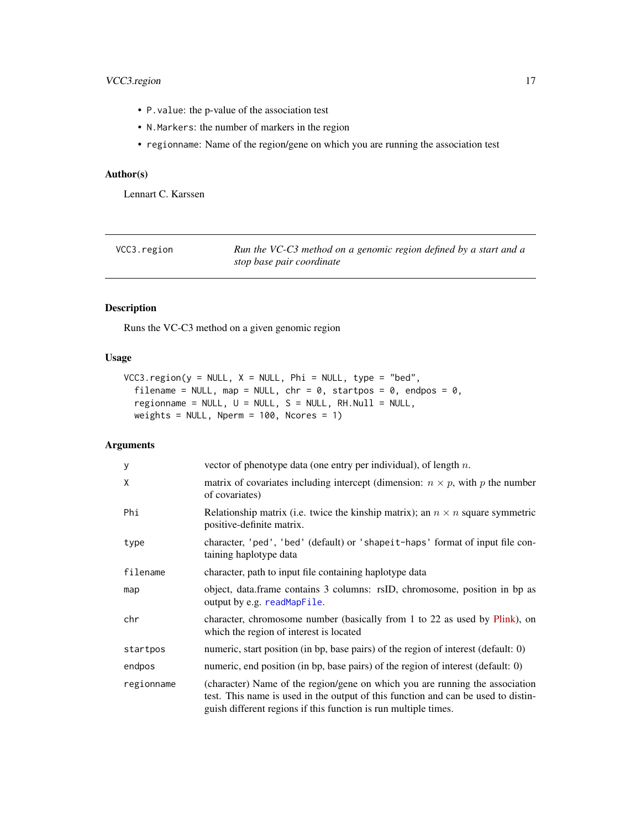- <span id="page-16-0"></span>• P.value: the p-value of the association test
- N.Markers: the number of markers in the region
- regionname: Name of the region/gene on which you are running the association test

#### Author(s)

Lennart C. Karssen

<span id="page-16-1"></span>

| VCC3.region | Run the VC-C3 method on a genomic region defined by a start and a |
|-------------|-------------------------------------------------------------------|
|             | stop base pair coordinate                                         |

#### Description

Runs the VC-C3 method on a given genomic region

#### Usage

```
VCC3.region(y = NULL, X = NULL, Phi = NULL, type = "bed",
  filename = NULL, map = NULL, chr = 0, startpos = 0, endpos = 0,
  regionname = NULL, U = NULL, S = NULL, RH.Null = NULL,
 weights = NULL, Nperm = 100, Ncores = 1)
```

| У          | vector of phenotype data (one entry per individual), of length $n$ .                                                                                                                                                                 |
|------------|--------------------------------------------------------------------------------------------------------------------------------------------------------------------------------------------------------------------------------------|
| X          | matrix of covariates including intercept (dimension: $n \times p$ , with p the number<br>of covariates)                                                                                                                              |
| Phi        | Relationship matrix (i.e. twice the kinship matrix); an $n \times n$ square symmetric<br>positive-definite matrix.                                                                                                                   |
| type       | character, 'ped', 'bed' (default) or 'shapeit-haps' format of input file con-<br>taining haplotype data                                                                                                                              |
| filename   | character, path to input file containing haplotype data                                                                                                                                                                              |
| map        | object, data.frame contains 3 columns: rsID, chromosome, position in bp as<br>output by e.g. readMapFile.                                                                                                                            |
| chr        | character, chromosome number (basically from 1 to 22 as used by Plink), on<br>which the region of interest is located                                                                                                                |
| startpos   | numeric, start position (in bp, base pairs) of the region of interest (default: 0)                                                                                                                                                   |
| endpos     | numeric, end position (in bp, base pairs) of the region of interest (default: 0)                                                                                                                                                     |
| regionname | (character) Name of the region/gene on which you are running the association<br>test. This name is used in the output of this function and can be used to distin-<br>guish different regions if this function is run multiple times. |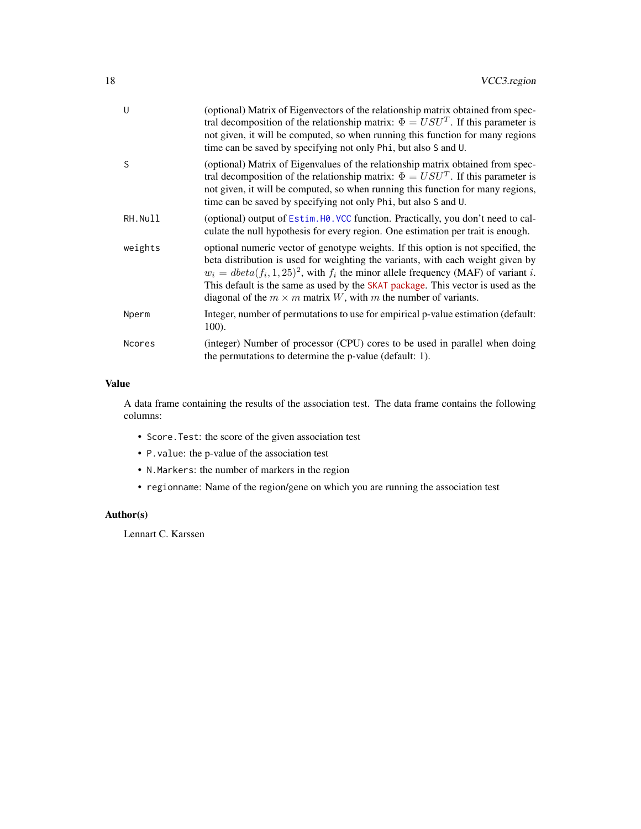<span id="page-17-0"></span>

| U       | (optional) Matrix of Eigenvectors of the relationship matrix obtained from spec-<br>tral decomposition of the relationship matrix: $\Phi = USU^{T}$ . If this parameter is<br>not given, it will be computed, so when running this function for many regions<br>time can be saved by specifying not only Phi, but also S and U.                                                                                                     |
|---------|-------------------------------------------------------------------------------------------------------------------------------------------------------------------------------------------------------------------------------------------------------------------------------------------------------------------------------------------------------------------------------------------------------------------------------------|
| S       | (optional) Matrix of Eigenvalues of the relationship matrix obtained from spec-<br>tral decomposition of the relationship matrix: $\Phi = USU^{T}$ . If this parameter is<br>not given, it will be computed, so when running this function for many regions,<br>time can be saved by specifying not only Phi, but also S and U.                                                                                                     |
| RH.Null | (optional) output of Estim. H0. VCC function. Practically, you don't need to cal-<br>culate the null hypothesis for every region. One estimation per trait is enough.                                                                                                                                                                                                                                                               |
| weights | optional numeric vector of genotype weights. If this option is not specified, the<br>beta distribution is used for weighting the variants, with each weight given by<br>$w_i = \text{dbeta}(f_i, 1, 25)^2$ , with $f_i$ the minor allele frequency (MAF) of variant i.<br>This default is the same as used by the SKAT package. This vector is used as the<br>diagonal of the $m \times m$ matrix W, with m the number of variants. |
| Nperm   | Integer, number of permutations to use for empirical p-value estimation (default:<br>100).                                                                                                                                                                                                                                                                                                                                          |
| Ncores  | (integer) Number of processor (CPU) cores to be used in parallel when doing                                                                                                                                                                                                                                                                                                                                                         |

A data frame containing the results of the association test. The data frame contains the following columns:

- Score.Test: the score of the given association test
- P.value: the p-value of the association test
- N.Markers: the number of markers in the region
- regionname: Name of the region/gene on which you are running the association test

#### Author(s)

Lennart C. Karssen